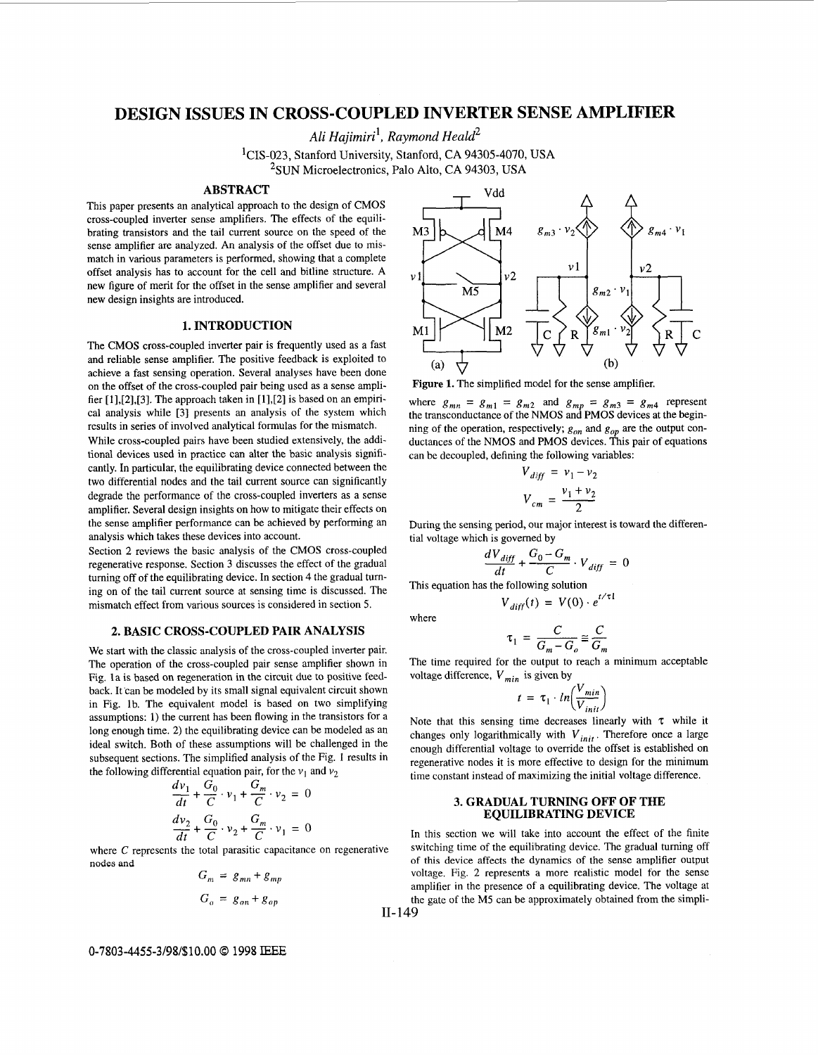# **DESIGN ISSUES IN CROSS-COUPLED INVERTER SErNSE AMPLIFIER**

**A** *li Hajim iri* ', *Raymond Hea ld2* 

<sup>1</sup>CIS-023, Stanford University, Stanford, CA 94305-4070, USA <sup>2</sup>SUN Microelectronics, Palo Alto, CA 94303, USA

#### **ABSTRACT**

This paper presents an analytical approach to the design of CMOS cross-coupled inverter sense amplifiers. The effects of the equilibrating transistors and the tail current source on the speed of the sense amplifier are analyzed. An analysis of the offset due to mismatch in various parameters is performed, showing that a complete offset analysis has to account for the cell and bitline structure. **A**  new figure of merit for the offset in the sense amplifier and several new design insights are introduced.

## **1. INTRODUCTION**

The CMOS cross-coupled inverter pair is frequently used as a fast and reliable sense amplifier. The positive feedback is exploited to achieve a fast sensing operation. Several analyses have been done on the offset of the cross-coupled pair being used as a sense amplifier [1],[2],[3]. The approach taken in [1],[2] is based on an empirical analysis while [3] presents an analysis of the system which results in series of involved analytical formulas for the mismatch.

While cross-coupled pairs have been studied extensively, the additional devices used in practice can alter the basic analysis significantly. In particular, the equilibrating device connected between the two differential nodes and the tail current source can significantly degrade the performance of the cross-coupled inverters as a sense amplifier. Several design insights on how to mitigate their effects on the sense amplifier performance can be achieved by performing an analysis which takes these devices into account.

Section *2* reviews the basic analysis of the CMOS cross-coupled regenerative response. Section 3 discusses the effect of the gradual turning off of the equilibrating device. In section 4 the gradual tuming on of the tail current source at sensing time is discussed. The mismatch effect from various sources is considered in section 5.

### **2. BASIC CROSS-COUPLED PAIR ANALYSIS**

We start with the classic analysis of the cross-coupled inverter pair. The operation of the cross-coupled pair sense amplifier shown in Fig. la is based on regeneration in the circuit due to positive feedback. It'can be modeled by its small signal equivalent circuit shown in Fig. lb. The equivalent model is based on two simplifying assumptions: 1) the current has been flowing in the transistors for a long enough time. 2) the equilibrating device can be modeled as an ideal switch. Both of these assumptions will be challenged in the subsequent sections. The simplified analysis of the Fig. 1 results in the following differential equation pair, for the  $v_1$  and  $v_2$ 

ns. The simplified analysis of the  
erential equation pair, for the 
$$
v_1
$$
 a  

$$
\frac{dv_1}{dt} + \frac{G_0}{C} \cdot v_1 + \frac{G_m}{C} \cdot v_2 = 0
$$

$$
\frac{dv_2}{dt} + \frac{G_0}{C} \cdot v_2 + \frac{G_m}{C} \cdot v_1 = 0
$$

where C represents the total parasitic capacitance on regenerative nodes and

$$
G_m = g_{mn} + g_{mp}
$$
  

$$
G_o = g_{on} + g_{op}
$$



Figure 1. The simplified model for the sense amplifier.

where  $g_{mn} = g_{m1} = g_{m2}$  and  $g_{mp} = g_{m3} = g_{m4}$  represent the transconductance of the NMOS and **PMOS** devices at the beginning of the operation, respectively;  $g_{on}$  and  $g_{op}$  are the output conductances of the NMOS and PMOS devices. This pair of equations can be decoupled, defining the following variables:<br> $V_{diff} = v_1 - v_2$ *v*<sub>*x*</sub> example MOS and PMOS devices. This performed PMOS devices. This performed PMOS devices. This performed PMOS devices. This performed PMOS devices. This performed  $V_{diff} = v_1 - v_2$ <br> $V_{cm} = \frac{v_1 + v_2}{2}$ 

$$
V_{diff} = v_1 - v_2
$$

$$
V_{cm} = \frac{v_1 + v_2}{2}
$$

During the sensing period, our major interest is toward the differential voltage which is governed by

$$
\frac{dV_{diff}}{dt} + \frac{G_0 - G_m}{C} \cdot V_{diff} = 0
$$

This equation has the following solution  $V_{diff}(t) = V(0) \cdot e^{t/\tau l}$ 

where

$$
\tau_1 = \frac{C}{G_m - G_o} \cong \frac{C}{G_m}
$$

The time required for the output to reach a minimum acceptable voltage difference,  $V_{min}$  is given by

$$
= \frac{1}{G_m - G_o} \approx \frac{1}{G_m}
$$
  
the output to reach a mi  
i is given by  

$$
t = \tau_1 \cdot ln\left(\frac{V_{min}}{V_{init}}\right)
$$

Note that this sensing time decreases linearly with *7* while it changes only logarithmically with  $V_{init}$ . Therefore once a large enough differential voltage to override the offset is established on regenerative nodes it is more effective to design for the minimum time constant instead of maximizing the initial voltage difference.

## **3. GRADUAL TURNING OFF OF THE EQUILIBRATING DEVICE**

In this section we will take into account the effect of the finite switching time of the equilibrating device. The gradual turning off of this device affects the dynamics of the sense amplifier output voltage. Fig. 2 represents a more realistic model for the sense amplifier in the presence of a equilibrating device. The voltage at the gate of the M5 can be approximately obtained from the simpli-11- 149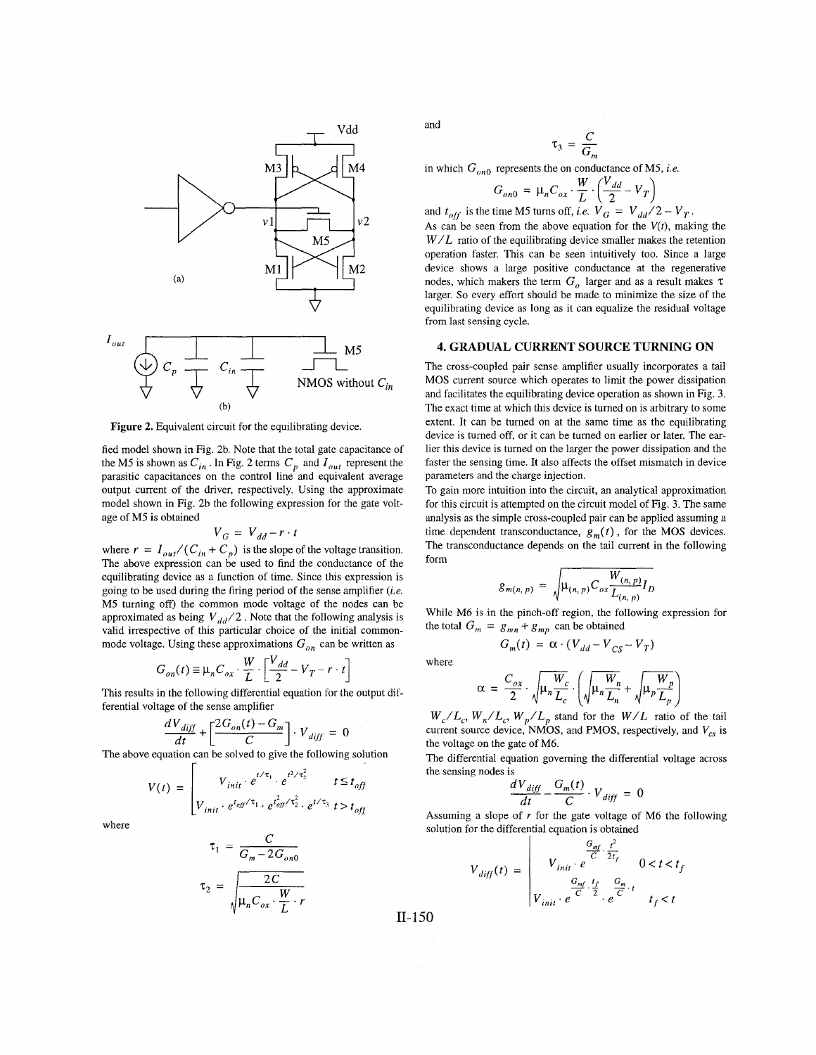

**Figure 2.** Equivalent circuit for the equilibrating device.

fied model shown in Fig. 2b. Note that the total gate capacitance of the M5 is shown as  $C_{in}$ . In Fig. 2 terms  $C_p$  and  $I_{out}$  represent the parasitic capacitances on the control line and equivalent average output current of the driver, respectively. Using the approximate model shown in Fig. 2b the following expression for the gate voltage of M5 is obtained

$$
V_G = V_{dd} - r \cdot t
$$

where  $r = I_{out}/(C_{in} + C_p)$  is the slope of the voltage transition. The above expression can be used to find the conductance of the equilibrating device as a function of time. Since this expression is going to be used during the firing period of the sense amplifier *(i.e.*  M5 tuming off) the common mode voltage of the nodes can be approximated as being  $V_{dd}/2$ . Note that the following analysis is valid irrespective of this particular choice of the initial commonmode voltage. Using these approximations  $G_{on}$  can be written as

$$
G_{on}(t) \cong \mu_n C_{ox} \cdot \frac{W}{L} \cdot \left[ \frac{V_{dd}}{2} - V_T - r \cdot t \right]
$$

This results in the following differential equation for the output differential voltage of the sense amplifier

$$
\frac{dV_{diff}}{dt} + \left[\frac{2G_{on}(t) - G_m}{C}\right] \cdot V_{diff} = 0
$$

The above equation can be solved to give the following solution

$$
V(t) = \begin{bmatrix} V_{init} \cdot e^{t/\tau_1} \cdot e^{t^2/\tau_2^2} & t \le t_{off} \\ V_{init} \cdot e^{t_{off}/\tau_1} \cdot e^{t_{off}^2/\tau_2^2} \cdot e^{t/\tau_3} & t > t_{off} \end{bmatrix}
$$

where

$$
\tau_1 = \frac{C}{G_m - 2G_{on0}}
$$

$$
\tau_2 = \sqrt{\frac{2C}{\mu_n C_{ox} \cdot \frac{W}{L} \cdot r}}
$$

and

$$
\tau_3 = \frac{C}{G_m}
$$

in which  $G_{\alpha n0}$  represents the on conductance of M5, *i.e.* 

$$
G_{on0} = \mu_n C_{ox} \cdot \frac{W}{L} \cdot \left(\frac{V_{dd}}{2} - V_T\right)
$$
  
time M5 turns off, i.e.  $V = V_{on}$ 

and  $t_{off}$  is the time M5 turns off, *i.e.*  $V_G = V_{dd}/2 - V_T$ . As can be seen from the above equation for the  $V(t)$ , making the  $W/L$  ratio of the equilibrating device smaller makes the retention operation faster. This can be seen intuitively too. Since a large device shows a large positive conductance at the regenerative nodes, which makers the term  $G_{\rho}$  larger and as a result makes  $\tau$ larger. So every effort should be made to minimize the size of the equilibrating device as long as it can equalize the residual voltage from last sensing cycle.

## **4. GRADUAL CURRENT SOURCE TURNING ON**

The cross-coupled pair sense amplifier usually incorporates a tail MOS current source which operates to limit the power dissipation and facilitates the equilibrating device operation as shown in [Fig. 3.](#page-2-0) The exact time at which this device is turned on is arbitrary to some extent. It can be turned on at the same time as the equilibrating device is turned off, or it can be tumed on earlier or later. The earlier this device is tumed on the larger the power dissipation and the faster the sensing time. It also affects the offset mismatch in device parameters and the charge injection.

To gain more intuition into the circuit, an analytical approximation for this circuit is attempted on the circuit model of [Fig. 3.](#page-2-0) The same analysis as the simple cross-coupled pair can be applied assuming a time dependent transconductance,  $g_m(t)$ , for the MOS devices. The transconductance depends on the tail current in the following form

$$
g_{m(n, p)} = \sqrt{\mu_{(n, p)} C_{ox} \frac{W_{(n, p)}}{L_{(n, p)}} I_D}
$$

While M6 is in the pinch-off region, the following expression for the total  $G_m = g_{mn} + g_{mp}$  can be obtained  $G_m(t) = \alpha \cdot (V_{dd} - V_{cs} - V_T)$ 

where

$$
\alpha = \frac{C_{ox}}{2} \cdot \sqrt{\mu_n \frac{W_c}{L_c}} \cdot \left( \sqrt{\mu_n \frac{W_n}{L_n}} + \sqrt{\mu_p \frac{W_p}{L_p}} \right)
$$

 $W_c/L_c$ ,  $W_n/L_c$ ,  $W_n/L_n$  stand for the  $W/L$  ratio of the tail current source device, NMOS, and PMOS, respectively, and  $V_{cs}$  is the voltage on the gate of M6.

The differential equation governing the differential voltage across the sensing nodes is

$$
\frac{dV_{diff}}{dt} - \frac{G_m(t)}{C} \cdot V_{diff} = 0
$$

Assuming a slope of *r* for the gate voltage of M6 the following solution for the differential equation is obtained

$$
V_{diff}(t) = \begin{vmatrix} \frac{G_{mf}}{C} \cdot \frac{t^2}{2t_f} & 0 < t < t_f \\ V_{init} \cdot e^{-\frac{G_{mf}}{C} \cdot \frac{t_f}{2}} \cdot e^{\frac{G_m}{C} \cdot t} & t_f < t \end{vmatrix}
$$

11- 150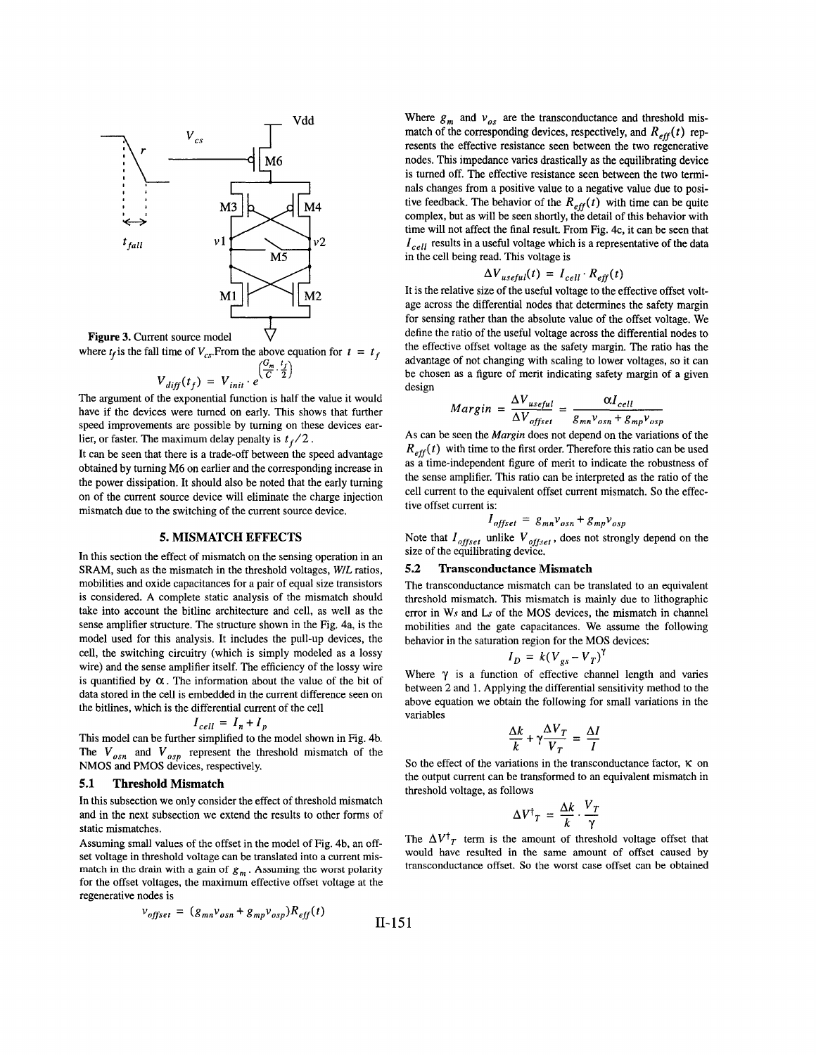<span id="page-2-0"></span>

where  $t_f$  is the fall time of  $V_{cs}$ . From the above equation for  $t = t_f$ <br> $\left(\frac{G_m}{r}, \frac{t_f}{r}\right)$ 

$$
V_{diff}(t_f) = V_{init} \cdot e^{\sqrt{C} \cdot \sqrt{2}}
$$

The argument of the exponential function is half the value it would have if the devices were turned on early. This shows that further speed improvements are possible by tuming on these devices earlier, or faster. The maximum delay penalty is  $t_f/2$ .

It can be seen that there is a trade-off between the speed advantage obtained by turning M6 on earlier and the corresponding increase in the power dissipation. It should also be noted that the early tuming on of the current source device will eliminate the charge injection mismatch due to the switching of the current source device.

#### **5. MISMATCH EFFECTS**

In this section the effect of mismatch on the sensing operation in an SRAM, such as the mismatch in the threshold voltages, *WIL* ratios, mobilities and oxide capacitances for a pair of equal size transistors is considered. A complete static analysis of the mismatch should take into account the bitline architecture and cell, as well as the sense amplifier structure. The structure shown in the Fig. 4a, is the model used for this analysis. It includes the pull-up devices, the cell, the switching circuitry (which is simply modeled as a lossy wire) and the sense amplifier itself. The efficiency of the lossy wire is quantified by  $\alpha$ . The information about the value of the bit of data stored in the cell is embedded in the current difference seen on the bitlines, which is the differential current of the cell

$$
I_{cell} = I_n + I_p
$$

This model can be further simplified to the model shown in Fig. 4b. The  $V_{osn}$  and  $V_{osn}$  represent the threshold mismatch of the NMOS and PMOS devices, respectively.

#### **5.1 Threshold Mismatch**

In this subsection we only consider the effect of threshold mismatch and in the next subsection we extend the results to other forms of static mismatches.

Assuming small values of the offset in the model of Fig. 4b, an offset voltage in threshold voltage can be translated into a current mismatch in the drain with a gain of  $g_m$ . Assuming the worst polarity for the offset voltages, the maximum effective offset voltage at the regenerative nodes is

$$
v_{offset} = (g_{mn}v_{osn} + g_{mp}v_{osp})R_{eff}(t)
$$
II-151

Where  $g_m$  and  $v_{os}$  are the transconductance and threshold mismatch of the corresponding devices, respectively, and  $R_{eff}(t)$  represents the effective resistance seen between the two regenerative nodes. This impedance varies drastically as the equilibrating device is tumed off. The effective resistance seen between the two terminals changes from a positive value to a negative value due to positive feedback. The behavior of the  $R_{eff}(t)$  with time can be quite complex, but as will be seen shortly, the detail of this behavior with time will not affect the final result. From Fig. 4c, it can be seen that  $I_{cell}$  results in a useful voltage which is a representative of the data in the cell being read. This voltage is

$$
\Delta V_{useful}(t) = I_{cell} \cdot R_{eff}(t)
$$

It is the relative size of the useful voltage to the effective offset voltage across the differential nodes that determines the safety margin for sensing rather than the absolute value of the offset voltage. We define the ratio of the useful voltage across the differential nodes to the effective offset voltage as the safety margin. The ratio has the advantage of not changing with scaling to lower voltages, **so** it can be chosen as a figure of merit indicating safety margin of a given design

$$
Margin = \frac{\Delta V_{useful}}{\Delta V_{offset}} = \frac{\alpha I_{cell}}{g_{mn}v_{osn} + g_{mp}v_{osp}}
$$

As can be seen the *Margin* does not depend on the variations of the  $R_{\text{eff}}(t)$  with time to the first order. Therefore this ratio can be used as a time-independent figure of merit to indicate the robustness of the sense amplifier. This ratio can be interpreted as the ratio of the cell current to the equivalent offset current mismatch. *So* the effective offset current is:

$$
I_{offset} = g_{mn}v_{osn} + g_{mp}v_{osp}
$$

Note that  $I_{offset}$  unlike  $V_{offset}$ , does not strongly depend on the size of the equilibrating device.

# **5.2 Transconductance Mismatch**

The transconductance mismatch can be translated to an equivalent threshold mismatch. This mismatch is mainly due to lithographic error in Ws and **Ls** of the MOS devices, the mismatch in channel mobilities and the gate Capacitances. We assume the following behavior in the saturation region for the MOS devices:<br> $I_D = k(V_{gs} - V_T)^{\gamma}$ 

$$
I_D = k(V_{gs} - V_T)
$$

Where  $\gamma$  is a function of effective channel length and varies between **2** and 1. Applying the differential sensitivity method to the above equation we obtain the following for small variations in the variables

$$
\frac{\Delta k}{k} + \gamma \frac{\Delta V_T}{V_T} = \frac{\Delta I}{I}
$$

So the effect of the variations in the transconductance factor,  $\kappa$  on the output current can be transformed to an equivalent mismatch in threshold voltage, as follows

$$
\Delta V^{\dagger}{}_{T} = \frac{\Delta k}{k} \cdot \frac{V_{T}}{\gamma}
$$

The  $\Delta V^{\dagger}{}_{T}$  term is the amount of threshold voltage offset that would have resulted in the same amount of offset caused by transconductance offset. *So* the worst case offset can be obtained